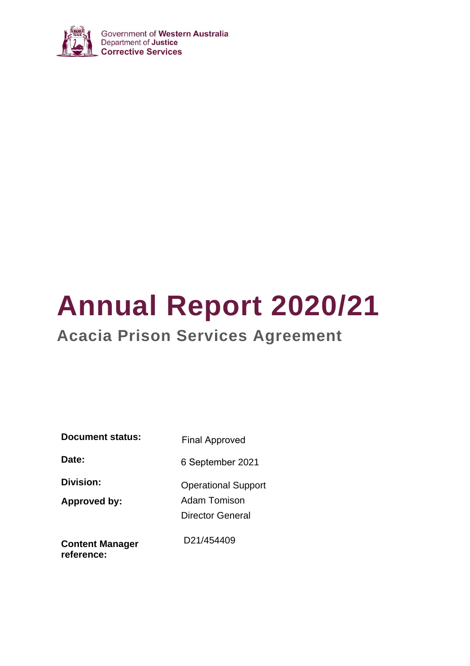

# **Annual Report 2020/21**

# **Acacia Prison Services Agreement**

| <b>Document status:</b>   | <b>Final Approved</b>                                          |  |  |  |  |  |
|---------------------------|----------------------------------------------------------------|--|--|--|--|--|
| Date:                     | 6 September 2021                                               |  |  |  |  |  |
| Division:<br>Approved by: | <b>Operational Support</b><br>Adam Tomison<br>Director General |  |  |  |  |  |
| <b>Content Manager</b>    | D <sub>21</sub> /454409                                        |  |  |  |  |  |

**reference:**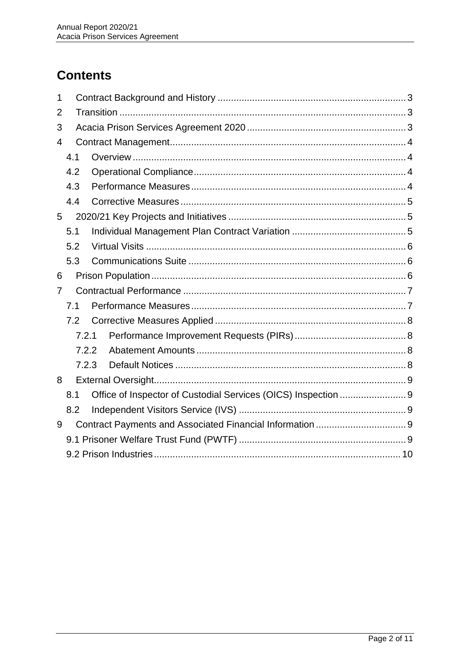## **Contents**

| 1 |       |  |  |  |  |  |  |  |  |
|---|-------|--|--|--|--|--|--|--|--|
| 2 |       |  |  |  |  |  |  |  |  |
| 3 |       |  |  |  |  |  |  |  |  |
| 4 |       |  |  |  |  |  |  |  |  |
|   | 4.1   |  |  |  |  |  |  |  |  |
|   | 4.2   |  |  |  |  |  |  |  |  |
|   | 4.3   |  |  |  |  |  |  |  |  |
|   | 4.4   |  |  |  |  |  |  |  |  |
| 5 |       |  |  |  |  |  |  |  |  |
|   | 5.1   |  |  |  |  |  |  |  |  |
|   | 5.2   |  |  |  |  |  |  |  |  |
|   | 5.3   |  |  |  |  |  |  |  |  |
| 6 |       |  |  |  |  |  |  |  |  |
| 7 |       |  |  |  |  |  |  |  |  |
|   | 7.1   |  |  |  |  |  |  |  |  |
|   | 7.2   |  |  |  |  |  |  |  |  |
|   | 7.2.1 |  |  |  |  |  |  |  |  |
|   | 7.2.2 |  |  |  |  |  |  |  |  |
|   | 7.2.3 |  |  |  |  |  |  |  |  |
| 8 |       |  |  |  |  |  |  |  |  |
|   | 8.1   |  |  |  |  |  |  |  |  |
|   | 8.2   |  |  |  |  |  |  |  |  |
| 9 |       |  |  |  |  |  |  |  |  |
|   |       |  |  |  |  |  |  |  |  |
|   |       |  |  |  |  |  |  |  |  |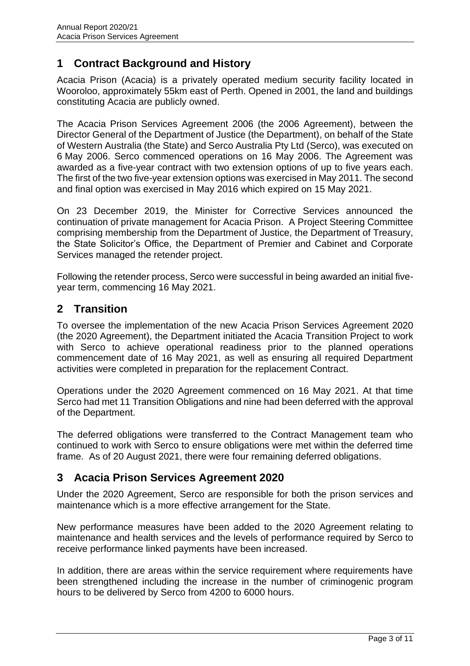#### <span id="page-2-0"></span>**1 Contract Background and History**

Acacia Prison (Acacia) is a privately operated medium security facility located in Wooroloo, approximately 55km east of Perth. Opened in 2001, the land and buildings constituting Acacia are publicly owned.

The Acacia Prison Services Agreement 2006 (the 2006 Agreement), between the Director General of the Department of Justice (the Department), on behalf of the State of Western Australia (the State) and Serco Australia Pty Ltd (Serco), was executed on 6 May 2006. Serco commenced operations on 16 May 2006. The Agreement was awarded as a five-year contract with two extension options of up to five years each. The first of the two five-year extension options was exercised in May 2011. The second and final option was exercised in May 2016 which expired on 15 May 2021.

On 23 December 2019, the Minister for Corrective Services announced the continuation of private management for Acacia Prison. A Project Steering Committee comprising membership from the Department of Justice, the Department of Treasury, the State Solicitor's Office, the Department of Premier and Cabinet and Corporate Services managed the retender project.

Following the retender process, Serco were successful in being awarded an initial fiveyear term, commencing 16 May 2021.

#### <span id="page-2-1"></span>**2 Transition**

To oversee the implementation of the new Acacia Prison Services Agreement 2020 (the 2020 Agreement), the Department initiated the Acacia Transition Project to work with Serco to achieve operational readiness prior to the planned operations commencement date of 16 May 2021, as well as ensuring all required Department activities were completed in preparation for the replacement Contract.

Operations under the 2020 Agreement commenced on 16 May 2021. At that time Serco had met 11 Transition Obligations and nine had been deferred with the approval of the Department.

The deferred obligations were transferred to the Contract Management team who continued to work with Serco to ensure obligations were met within the deferred time frame. As of 20 August 2021, there were four remaining deferred obligations.

#### <span id="page-2-2"></span>**3 Acacia Prison Services Agreement 2020**

Under the 2020 Agreement, Serco are responsible for both the prison services and maintenance which is a more effective arrangement for the State.

New performance measures have been added to the 2020 Agreement relating to maintenance and health services and the levels of performance required by Serco to receive performance linked payments have been increased.

In addition, there are areas within the service requirement where requirements have been strengthened including the increase in the number of criminogenic program hours to be delivered by Serco from 4200 to 6000 hours.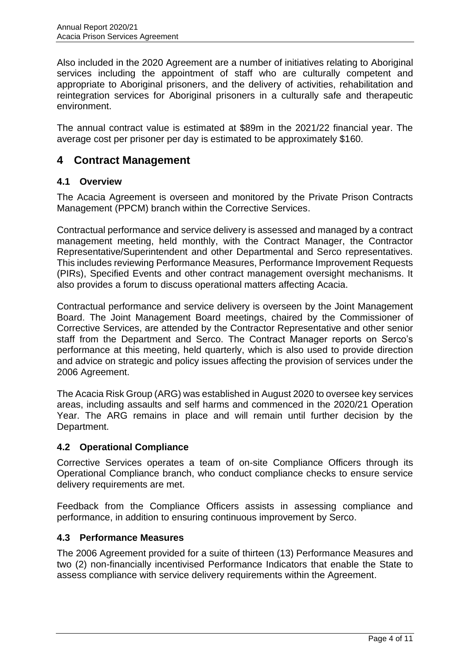Also included in the 2020 Agreement are a number of initiatives relating to Aboriginal services including the appointment of staff who are culturally competent and appropriate to Aboriginal prisoners, and the delivery of activities, rehabilitation and reintegration services for Aboriginal prisoners in a culturally safe and therapeutic environment.

The annual contract value is estimated at \$89m in the 2021/22 financial year. The average cost per prisoner per day is estimated to be approximately \$160.

#### <span id="page-3-0"></span>**4 Contract Management**

#### <span id="page-3-1"></span>**4.1 Overview**

The Acacia Agreement is overseen and monitored by the Private Prison Contracts Management (PPCM) branch within the Corrective Services.

Contractual performance and service delivery is assessed and managed by a contract management meeting, held monthly, with the Contract Manager, the Contractor Representative/Superintendent and other Departmental and Serco representatives. This includes reviewing Performance Measures, Performance Improvement Requests (PIRs), Specified Events and other contract management oversight mechanisms. It also provides a forum to discuss operational matters affecting Acacia.

Contractual performance and service delivery is overseen by the Joint Management Board. The Joint Management Board meetings, chaired by the Commissioner of Corrective Services, are attended by the Contractor Representative and other senior staff from the Department and Serco. The Contract Manager reports on Serco's performance at this meeting, held quarterly, which is also used to provide direction and advice on strategic and policy issues affecting the provision of services under the 2006 Agreement.

The Acacia Risk Group (ARG) was established in August 2020 to oversee key services areas, including assaults and self harms and commenced in the 2020/21 Operation Year. The ARG remains in place and will remain until further decision by the Department.

#### <span id="page-3-2"></span>**4.2 Operational Compliance**

Corrective Services operates a team of on-site Compliance Officers through its Operational Compliance branch, who conduct compliance checks to ensure service delivery requirements are met.

Feedback from the Compliance Officers assists in assessing compliance and performance, in addition to ensuring continuous improvement by Serco.

#### <span id="page-3-3"></span>**4.3 Performance Measures**

The 2006 Agreement provided for a suite of thirteen (13) Performance Measures and two (2) non-financially incentivised Performance Indicators that enable the State to assess compliance with service delivery requirements within the Agreement.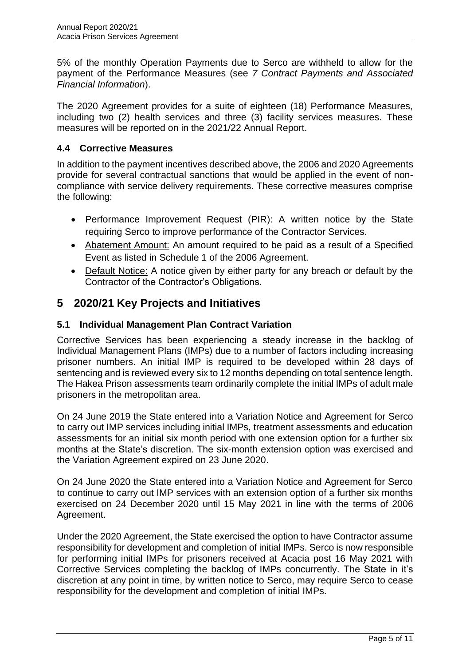5% of the monthly Operation Payments due to Serco are withheld to allow for the payment of the Performance Measures (see *7 Contract Payments and Associated Financial Information*).

The 2020 Agreement provides for a suite of eighteen (18) Performance Measures, including two (2) health services and three (3) facility services measures. These measures will be reported on in the 2021/22 Annual Report.

#### <span id="page-4-0"></span>**4.4 Corrective Measures**

In addition to the payment incentives described above, the 2006 and 2020 Agreements provide for several contractual sanctions that would be applied in the event of noncompliance with service delivery requirements. These corrective measures comprise the following:

- Performance Improvement Request (PIR): A written notice by the State requiring Serco to improve performance of the Contractor Services.
- Abatement Amount: An amount required to be paid as a result of a Specified Event as listed in Schedule 1 of the 2006 Agreement.
- Default Notice: A notice given by either party for any breach or default by the Contractor of the Contractor's Obligations.

#### <span id="page-4-1"></span>**5 2020/21 Key Projects and Initiatives**

#### <span id="page-4-2"></span>**5.1 Individual Management Plan Contract Variation**

Corrective Services has been experiencing a steady increase in the backlog of Individual Management Plans (IMPs) due to a number of factors including increasing prisoner numbers. An initial IMP is required to be developed within 28 days of sentencing and is reviewed every six to 12 months depending on total sentence length. The Hakea Prison assessments team ordinarily complete the initial IMPs of adult male prisoners in the metropolitan area.

On 24 June 2019 the State entered into a Variation Notice and Agreement for Serco to carry out IMP services including initial IMPs, treatment assessments and education assessments for an initial six month period with one extension option for a further six months at the State's discretion. The six-month extension option was exercised and the Variation Agreement expired on 23 June 2020.

On 24 June 2020 the State entered into a Variation Notice and Agreement for Serco to continue to carry out IMP services with an extension option of a further six months exercised on 24 December 2020 until 15 May 2021 in line with the terms of 2006 Agreement.

Under the 2020 Agreement, the State exercised the option to have Contractor assume responsibility for development and completion of initial IMPs. Serco is now responsible for performing initial IMPs for prisoners received at Acacia post 16 May 2021 with Corrective Services completing the backlog of IMPs concurrently. The State in it's discretion at any point in time, by written notice to Serco, may require Serco to cease responsibility for the development and completion of initial IMPs.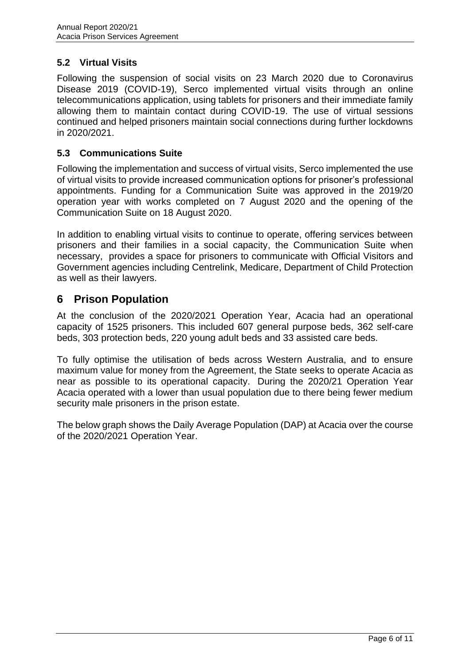#### <span id="page-5-0"></span>**5.2 Virtual Visits**

Following the suspension of social visits on 23 March 2020 due to Coronavirus Disease 2019 (COVID-19), Serco implemented virtual visits through an online telecommunications application, using tablets for prisoners and their immediate family allowing them to maintain contact during COVID-19. The use of virtual sessions continued and helped prisoners maintain social connections during further lockdowns in 2020/2021.

#### <span id="page-5-1"></span>**5.3 Communications Suite**

Following the implementation and success of virtual visits, Serco implemented the use of virtual visits to provide increased communication options for prisoner's professional appointments. Funding for a Communication Suite was approved in the 2019/20 operation year with works completed on 7 August 2020 and the opening of the Communication Suite on 18 August 2020.

In addition to enabling virtual visits to continue to operate, offering services between prisoners and their families in a social capacity, the Communication Suite when necessary, provides a space for prisoners to communicate with Official Visitors and Government agencies including Centrelink, Medicare, Department of Child Protection as well as their lawyers.

#### <span id="page-5-2"></span>**6 Prison Population**

At the conclusion of the 2020/2021 Operation Year, Acacia had an operational capacity of 1525 prisoners. This included 607 general purpose beds, 362 self-care beds, 303 protection beds, 220 young adult beds and 33 assisted care beds.

To fully optimise the utilisation of beds across Western Australia, and to ensure maximum value for money from the Agreement, the State seeks to operate Acacia as near as possible to its operational capacity. During the 2020/21 Operation Year Acacia operated with a lower than usual population due to there being fewer medium security male prisoners in the prison estate.

The below graph shows the Daily Average Population (DAP) at Acacia over the course of the 2020/2021 Operation Year.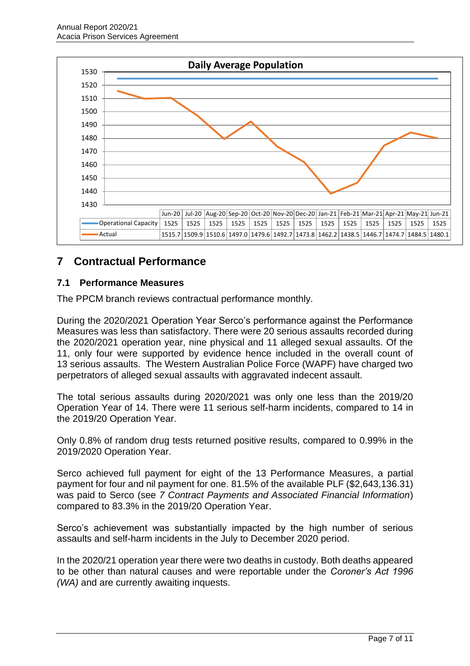

### <span id="page-6-0"></span>**7 Contractual Performance**

#### <span id="page-6-1"></span>**7.1 Performance Measures**

The PPCM branch reviews contractual performance monthly.

During the 2020/2021 Operation Year Serco's performance against the Performance Measures was less than satisfactory. There were 20 serious assaults recorded during the 2020/2021 operation year, nine physical and 11 alleged sexual assaults. Of the 11, only four were supported by evidence hence included in the overall count of 13 serious assaults. The Western Australian Police Force (WAPF) have charged two perpetrators of alleged sexual assaults with aggravated indecent assault.

The total serious assaults during 2020/2021 was only one less than the 2019/20 Operation Year of 14. There were 11 serious self-harm incidents, compared to 14 in the 2019/20 Operation Year.

Only 0.8% of random drug tests returned positive results, compared to 0.99% in the 2019/2020 Operation Year.

Serco achieved full payment for eight of the 13 Performance Measures, a partial payment for four and nil payment for one. 81.5% of the available PLF (\$2,643,136.31) was paid to Serco (see *7 Contract Payments and Associated Financial Information*) compared to 83.3% in the 2019/20 Operation Year.

Serco's achievement was substantially impacted by the high number of serious assaults and self-harm incidents in the July to December 2020 period.

In the 2020/21 operation year there were two deaths in custody. Both deaths appeared to be other than natural causes and were reportable under the *Coroner's Act 1996 (WA)* and are currently awaiting inquests.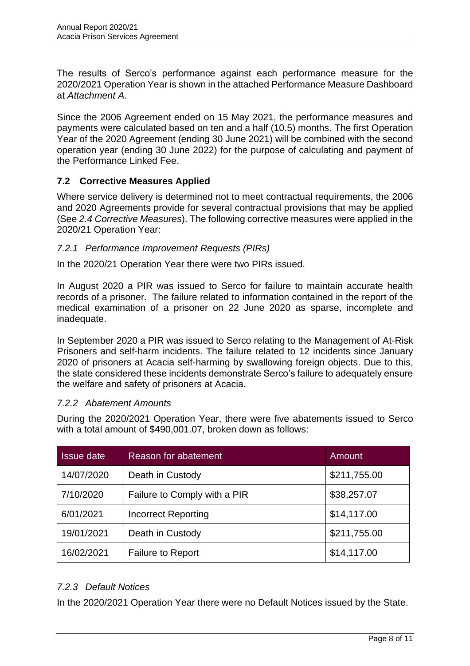The results of Serco's performance against each performance measure for the 2020/2021 Operation Year is shown in the attached Performance Measure Dashboard at *Attachment A*.

Since the 2006 Agreement ended on 15 May 2021, the performance measures and payments were calculated based on ten and a half (10.5) months. The first Operation Year of the 2020 Agreement (ending 30 June 2021) will be combined with the second operation year (ending 30 June 2022) for the purpose of calculating and payment of the Performance Linked Fee.

#### <span id="page-7-0"></span>**7.2 Corrective Measures Applied**

Where service delivery is determined not to meet contractual requirements, the 2006 and 2020 Agreements provide for several contractual provisions that may be applied (See *2.4 Corrective Measures*). The following corrective measures were applied in the 2020/21 Operation Year:

#### <span id="page-7-1"></span>*7.2.1 Performance Improvement Requests (PIRs)*

In the 2020/21 Operation Year there were two PIRs issued.

In August 2020 a PIR was issued to Serco for failure to maintain accurate health records of a prisoner. The failure related to information contained in the report of the medical examination of a prisoner on 22 June 2020 as sparse, incomplete and inadequate.

In September 2020 a PIR was issued to Serco relating to the Management of At-Risk Prisoners and self-harm incidents. The failure related to 12 incidents since January 2020 of prisoners at Acacia self-harming by swallowing foreign objects. Due to this, the state considered these incidents demonstrate Serco's failure to adequately ensure the welfare and safety of prisoners at Acacia.

#### <span id="page-7-2"></span>*7.2.2 Abatement Amounts*

During the 2020/2021 Operation Year, there were five abatements issued to Serco with a total amount of \$490,001.07, broken down as follows:

| <b>Issue date</b> | Reason for abatement         | Amount       |
|-------------------|------------------------------|--------------|
| 14/07/2020        | Death in Custody             | \$211,755.00 |
| 7/10/2020         | Failure to Comply with a PIR | \$38,257.07  |
| 6/01/2021         | <b>Incorrect Reporting</b>   | \$14,117.00  |
| 19/01/2021        | Death in Custody             | \$211,755.00 |
| 16/02/2021        | <b>Failure to Report</b>     | \$14,117.00  |

#### <span id="page-7-3"></span>*7.2.3 Default Notices*

In the 2020/2021 Operation Year there were no Default Notices issued by the State.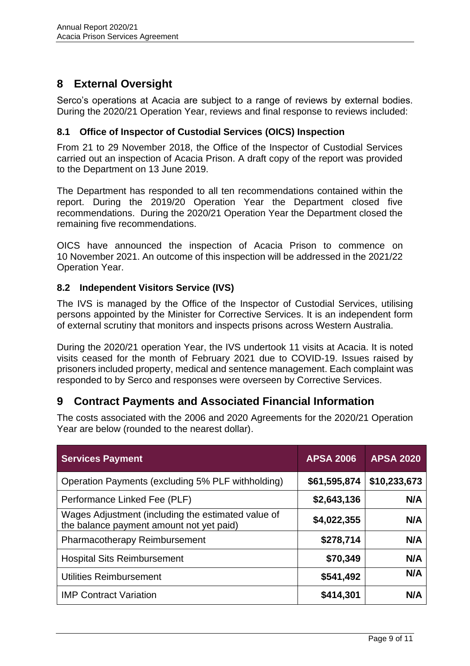### <span id="page-8-0"></span>**8 External Oversight**

Serco's operations at Acacia are subject to a range of reviews by external bodies. During the 2020/21 Operation Year, reviews and final response to reviews included:

#### <span id="page-8-1"></span>**8.1 Office of Inspector of Custodial Services (OICS) Inspection**

From 21 to 29 November 2018, the Office of the Inspector of Custodial Services carried out an inspection of Acacia Prison. A draft copy of the report was provided to the Department on 13 June 2019.

The Department has responded to all ten recommendations contained within the report. During the 2019/20 Operation Year the Department closed five recommendations. During the 2020/21 Operation Year the Department closed the remaining five recommendations.

OICS have announced the inspection of Acacia Prison to commence on 10 November 2021. An outcome of this inspection will be addressed in the 2021/22 Operation Year.

#### <span id="page-8-2"></span>**8.2 Independent Visitors Service (IVS)**

The IVS is managed by the Office of the Inspector of Custodial Services, utilising persons appointed by the Minister for Corrective Services. It is an independent form of external scrutiny that monitors and inspects prisons across Western Australia.

During the 2020/21 operation Year, the IVS undertook 11 visits at Acacia. It is noted visits ceased for the month of February 2021 due to COVID-19. Issues raised by prisoners included property, medical and sentence management. Each complaint was responded to by Serco and responses were overseen by Corrective Services.

### <span id="page-8-3"></span>**9 Contract Payments and Associated Financial Information**

<span id="page-8-4"></span>The costs associated with the 2006 and 2020 Agreements for the 2020/21 Operation Year are below (rounded to the nearest dollar).

| <b>Services Payment</b>                                                                        | <b>APSA 2006</b> | <b>APSA 2020</b> |
|------------------------------------------------------------------------------------------------|------------------|------------------|
| Operation Payments (excluding 5% PLF withholding)                                              | \$61,595,874     | \$10,233,673     |
| Performance Linked Fee (PLF)                                                                   | \$2,643,136      | N/A              |
| Wages Adjustment (including the estimated value of<br>the balance payment amount not yet paid) | \$4,022,355      | N/A              |
| Pharmacotherapy Reimbursement                                                                  | \$278,714        | N/A              |
| <b>Hospital Sits Reimbursement</b>                                                             | \$70,349         | N/A              |
| <b>Utilities Reimbursement</b>                                                                 | \$541,492        | N/A              |
| <b>IMP Contract Variation</b>                                                                  | \$414,301        | N/A              |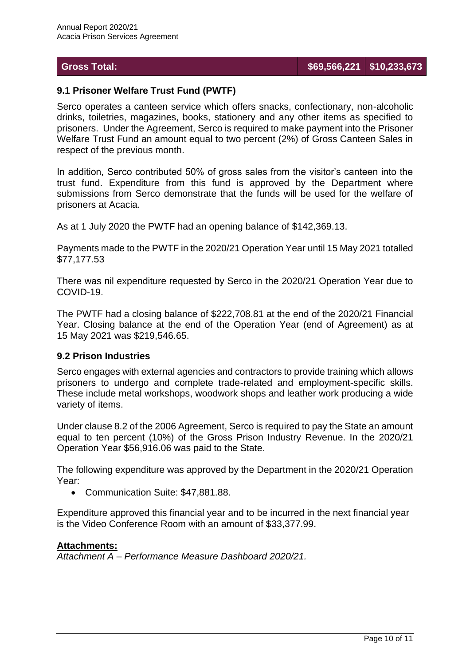#### **Gross Total: \$69,566,221 \$10,233,673**

#### **9.1 Prisoner Welfare Trust Fund (PWTF)**

Serco operates a canteen service which offers snacks, confectionary, non-alcoholic drinks, toiletries, magazines, books, stationery and any other items as specified to prisoners. Under the Agreement, Serco is required to make payment into the Prisoner Welfare Trust Fund an amount equal to two percent (2%) of Gross Canteen Sales in respect of the previous month.

In addition, Serco contributed 50% of gross sales from the visitor's canteen into the trust fund. Expenditure from this fund is approved by the Department where submissions from Serco demonstrate that the funds will be used for the welfare of prisoners at Acacia.

As at 1 July 2020 the PWTF had an opening balance of \$142,369.13.

Payments made to the PWTF in the 2020/21 Operation Year until 15 May 2021 totalled \$77,177.53

There was nil expenditure requested by Serco in the 2020/21 Operation Year due to COVID-19.

The PWTF had a closing balance of \$222,708.81 at the end of the 2020/21 Financial Year. Closing balance at the end of the Operation Year (end of Agreement) as at 15 May 2021 was \$219,546.65.

#### <span id="page-9-0"></span>**9.2 Prison Industries**

Serco engages with external agencies and contractors to provide training which allows prisoners to undergo and complete trade-related and employment-specific skills. These include metal workshops, woodwork shops and leather work producing a wide variety of items.

Under clause 8.2 of the 2006 Agreement, Serco is required to pay the State an amount equal to ten percent (10%) of the Gross Prison Industry Revenue. In the 2020/21 Operation Year \$56,916.06 was paid to the State.

The following expenditure was approved by the Department in the 2020/21 Operation Year:

• Communication Suite: \$47,881.88.

Expenditure approved this financial year and to be incurred in the next financial year is the Video Conference Room with an amount of \$33,377.99.

#### **Attachments:**

*Attachment A – Performance Measure Dashboard 2020/21.*